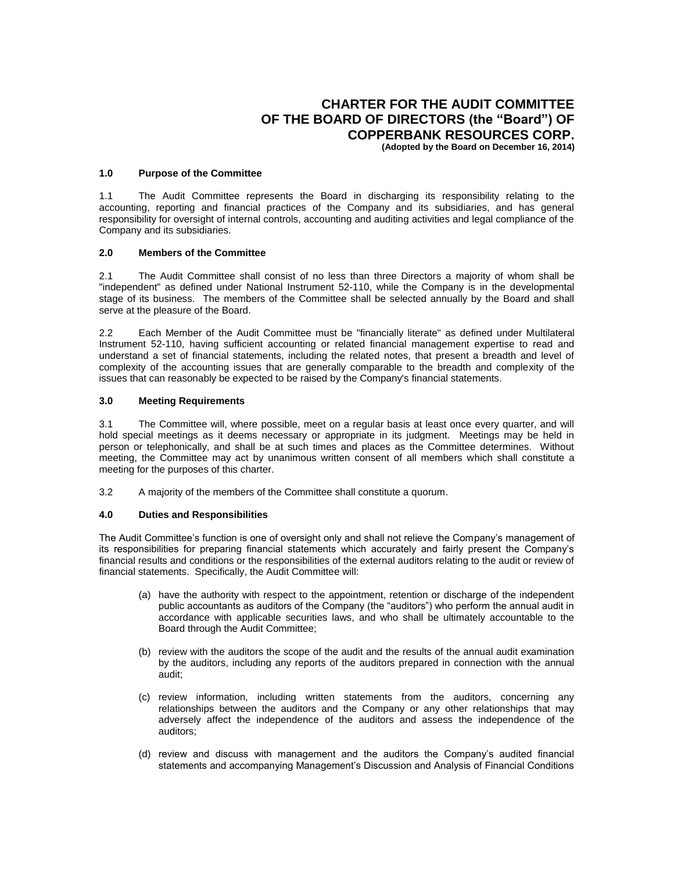# **CHARTER FOR THE AUDIT COMMITTEE OF THE BOARD OF DIRECTORS (the "Board") OF COPPERBANK RESOURCES CORP.**

**(Adopted by the Board on December 16, 2014)**

#### **1.0 Purpose of the Committee**

1.1 The Audit Committee represents the Board in discharging its responsibility relating to the accounting, reporting and financial practices of the Company and its subsidiaries, and has general responsibility for oversight of internal controls, accounting and auditing activities and legal compliance of the Company and its subsidiaries.

#### **2.0 Members of the Committee**

2.1 The Audit Committee shall consist of no less than three Directors a majority of whom shall be "independent" as defined under National Instrument 52-110, while the Company is in the developmental stage of its business. The members of the Committee shall be selected annually by the Board and shall serve at the pleasure of the Board.

2.2 Each Member of the Audit Committee must be "financially literate" as defined under Multilateral Instrument 52-110, having sufficient accounting or related financial management expertise to read and understand a set of financial statements, including the related notes, that present a breadth and level of complexity of the accounting issues that are generally comparable to the breadth and complexity of the issues that can reasonably be expected to be raised by the Company's financial statements.

#### **3.0 Meeting Requirements**

3.1 The Committee will, where possible, meet on a regular basis at least once every quarter, and will hold special meetings as it deems necessary or appropriate in its judgment. Meetings may be held in person or telephonically, and shall be at such times and places as the Committee determines. Without meeting, the Committee may act by unanimous written consent of all members which shall constitute a meeting for the purposes of this charter.

3.2 A majority of the members of the Committee shall constitute a quorum.

## **4.0 Duties and Responsibilities**

The Audit Committee's function is one of oversight only and shall not relieve the Company's management of its responsibilities for preparing financial statements which accurately and fairly present the Company's financial results and conditions or the responsibilities of the external auditors relating to the audit or review of financial statements. Specifically, the Audit Committee will:

- (a) have the authority with respect to the appointment, retention or discharge of the independent public accountants as auditors of the Company (the "auditors") who perform the annual audit in accordance with applicable securities laws, and who shall be ultimately accountable to the Board through the Audit Committee;
- (b) review with the auditors the scope of the audit and the results of the annual audit examination by the auditors, including any reports of the auditors prepared in connection with the annual audit;
- (c) review information, including written statements from the auditors, concerning any relationships between the auditors and the Company or any other relationships that may adversely affect the independence of the auditors and assess the independence of the auditors;
- (d) review and discuss with management and the auditors the Company's audited financial statements and accompanying Management's Discussion and Analysis of Financial Conditions